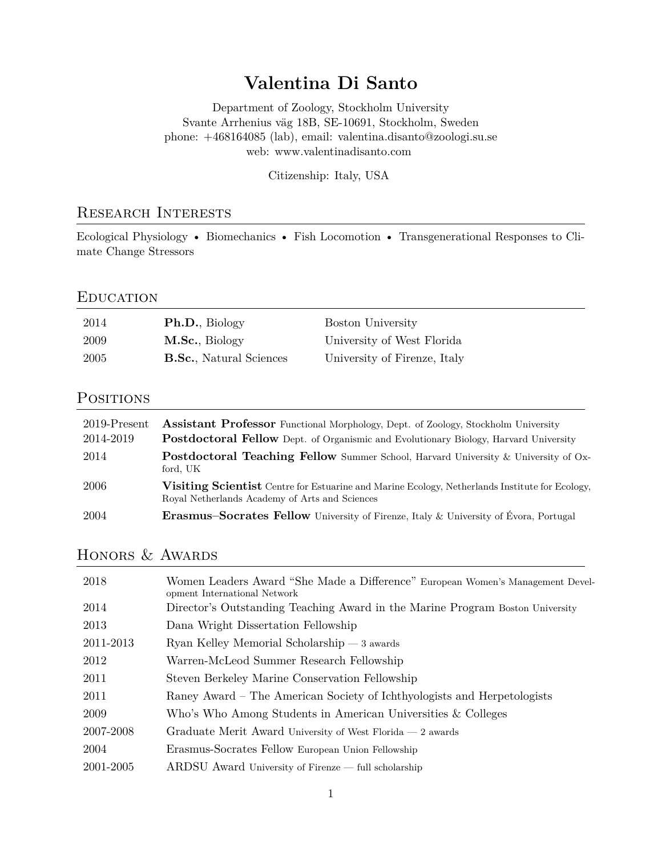# **Valentina Di Santo**

Department of Zoology, Stockholm University Svante Arrhenius väg 18B, SE-10691, Stockholm, Sweden phone: +468164085 (lab), email: [valentina.disanto@zoologi.su.se](mailto:valentina.disanto@zoologi.su.se) [web: www.valentinadisanto.com](http://www.valentinadisanto.com)

Citizenship: Italy, USA

### Research Interests

Ecological Physiology • Biomechanics • Fish Locomotion • Transgenerational Responses to Climate Change Stressors

#### **EDUCATION**

| 2014  | <b>Ph.D.</b> , Biology          | <b>Boston University</b>     |
|-------|---------------------------------|------------------------------|
| -2009 | M.Sc., Biology                  | University of West Florida   |
| -2005 | <b>B.Sc.</b> , Natural Sciences | University of Firenze, Italy |

### **POSITIONS**

| 2019-Present | <b>Assistant Professor</b> Functional Morphology, Dept. of Zoology, Stockholm University                                                                |
|--------------|---------------------------------------------------------------------------------------------------------------------------------------------------------|
| 2014-2019    | <b>Postdoctoral Fellow</b> Dept. of Organismic and Evolutionary Biology, Harvard University                                                             |
| 2014         | <b>Postdoctoral Teaching Fellow</b> Summer School, Harvard University & University of Ox-<br>ford. UK                                                   |
| 2006         | <b>Visiting Scientist</b> Centre for Estuarine and Marine Ecology, Netherlands Institute for Ecology,<br>Royal Netherlands Academy of Arts and Sciences |
| 2004         | <b>Erasmus–Socrates Fellow</b> University of Firenze, Italy & University of Évora, Portugal                                                             |

## HONORS & AWARDS

| 2018      | Women Leaders Award "She Made a Difference" European Women's Management Devel-<br>opment International Network |
|-----------|----------------------------------------------------------------------------------------------------------------|
| 2014      | Director's Outstanding Teaching Award in the Marine Program Boston University                                  |
| 2013      | Dana Wright Dissertation Fellowship                                                                            |
| 2011-2013 | $Ryan$ Kelley Memorial Scholarship $-3$ awards                                                                 |
| 2012      | Warren-McLeod Summer Research Fellowship                                                                       |
| 2011      | Steven Berkeley Marine Conservation Fellowship                                                                 |
| 2011      | Raney Award – The American Society of Ichthyologists and Herpetologists                                        |
| 2009      | Who's Who Among Students in American Universities & Colleges                                                   |
| 2007-2008 | Graduate Merit Award University of West Florida $-2$ awards                                                    |
| 2004      | Erasmus-Socrates Fellow European Union Fellowship                                                              |
| 2001-2005 | $ARDSU$ Award University of Firenze — full scholarship                                                         |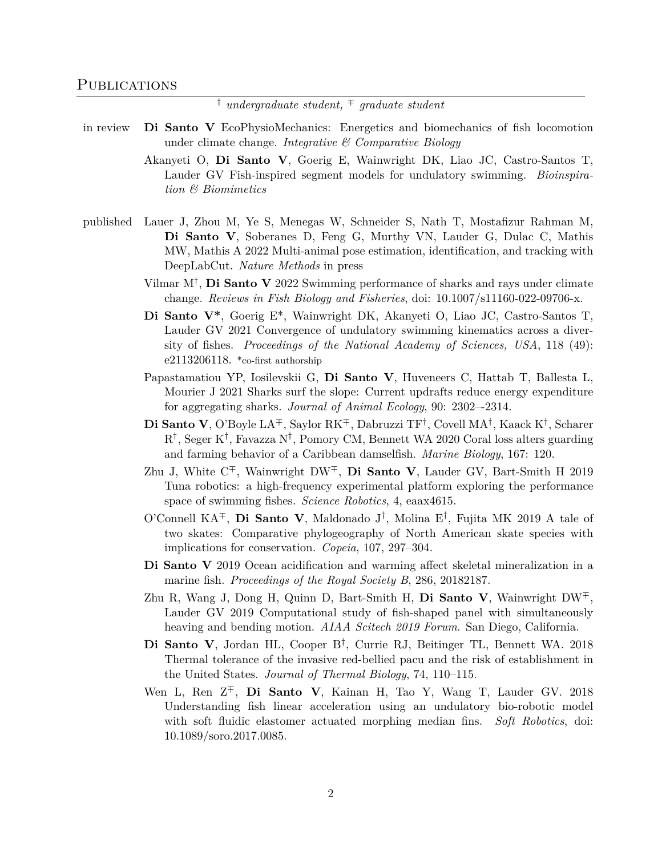*† undergraduate student, ∓ graduate student*

- in review **Di Santo V** EcoPhysioMechanics: Energetics and biomechanics of fish locomotion under climate change. *Integrative & Comparative Biology*
	- Akanyeti O, **Di Santo V**, Goerig E, Wainwright DK, Liao JC, Castro-Santos T, Lauder GV Fish-inspired segment models for undulatory swimming. *Bioinspiration & Biomimetics*
- published Lauer J, Zhou M, Ye S, Menegas W, Schneider S, Nath T, Mostafizur Rahman M, **Di Santo V**, Soberanes D, Feng G, Murthy VN, Lauder G, Dulac C, Mathis MW, Mathis A 2022 Multi-animal pose estimation, identification, and tracking with DeepLabCut. *Nature Methods* in press
	- Vilmar M*†* , **Di Santo V** 2022 Swimming performance of sharks and rays under climate change. *Reviews in Fish Biology and Fisheries*, doi: 10.1007/s11160-022-09706-x.
	- **Di Santo V\***, Goerig E\*, Wainwright DK, Akanyeti O, Liao JC, Castro-Santos T, Lauder GV 2021 Convergence of undulatory swimming kinematics across a diversity of fishes. *Proceedings of the National Academy of Sciences, USA*, 118 (49): e2113206118. \*co-first authorship
	- Papastamatiou YP, Iosilevskii G, **Di Santo V**, Huveneers C, Hattab T, Ballesta L, Mourier J 2021 Sharks surf the slope: Current updrafts reduce energy expenditure for aggregating sharks. *Journal of Animal Ecology*, 90: 2302–-2314.
	- **Di Santo V**, O'Boyle LA*∓*, Saylor RK*∓*, Dabruzzi TF*†* , Covell MA*†* , Kaack K*†* , Scharer R*†* , Seger K*†* , Favazza N*†* , Pomory CM, Bennett WA 2020 Coral loss alters guarding and farming behavior of a Caribbean damselfish. *Marine Biology*, 167: 120.
	- Zhu J, White C*∓*, Wainwright DW*∓*, **Di Santo V**, Lauder GV, Bart-Smith H 2019 Tuna robotics: a high-frequency experimental platform exploring the performance space of swimming fishes. *Science Robotics*, 4, eaax4615.
	- O'Connell KA*∓*, **Di Santo V**, Maldonado J*†* , Molina E*†* , Fujita MK 2019 A tale of two skates: Comparative phylogeography of North American skate species with implications for conservation. *Copeia*, 107, 297–304.
	- **Di Santo V** 2019 Ocean acidification and warming affect skeletal mineralization in a marine fish. *Proceedings of the Royal Society B*, 286, 20182187.
	- Zhu R, Wang J, Dong H, Quinn D, Bart-Smith H, **Di Santo V**, Wainwright DW*∓*, Lauder GV 2019 Computational study of fish-shaped panel with simultaneously heaving and bending motion. *AIAA Scitech 2019 Forum*. San Diego, California.
	- **Di Santo V**, Jordan HL, Cooper B*†* , Currie RJ, Beitinger TL, Bennett WA. 2018 Thermal tolerance of the invasive red-bellied pacu and the risk of establishment in the United States. *Journal of Thermal Biology*, 74, 110–115.
	- Wen L, Ren Z*∓*, **Di Santo V**, Kainan H, Tao Y, Wang T, Lauder GV. 2018 Understanding fish linear acceleration using an undulatory bio-robotic model with soft fluidic elastomer actuated morphing median fins. *Soft Robotics*, doi: 10.1089/soro.2017.0085.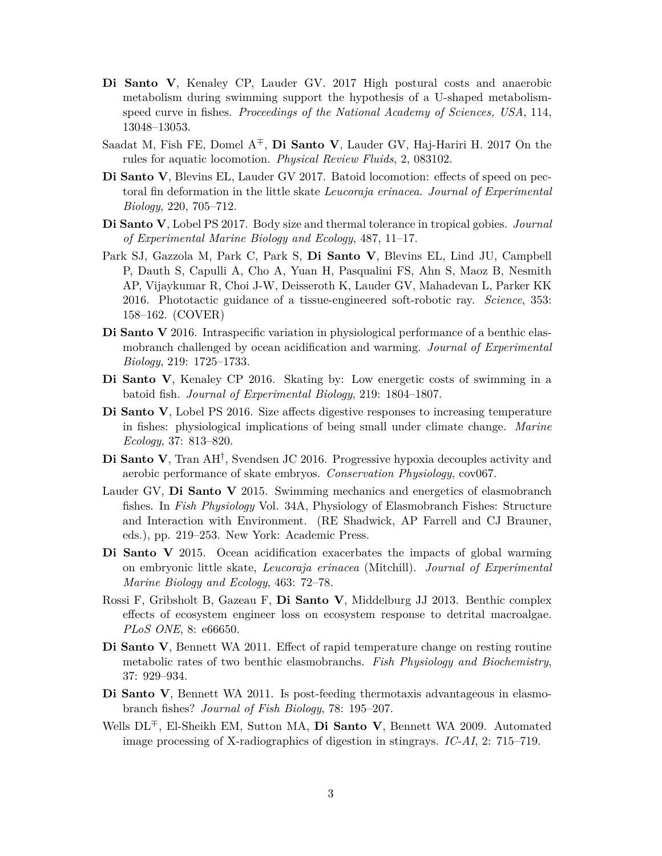- **Di Santo V**, Kenaley CP, Lauder GV. 2017 High postural costs and anaerobic metabolism during swimming support the hypothesis of a U-shaped metabolismspeed curve in fishes. *Proceedings of the National Academy of Sciences, USA*, 114, 13048–13053.
- Saadat M, Fish FE, Domel A*∓*, **Di Santo V**, Lauder GV, Haj-Hariri H. 2017 On the rules for aquatic locomotion. *Physical Review Fluids*, 2, 083102.
- **Di Santo V**, Blevins EL, Lauder GV 2017. Batoid locomotion: effects of speed on pectoral fin deformation in the little skate *Leucoraja erinacea*. *Journal of Experimental Biology*, 220, 705–712.
- **Di Santo V**, Lobel PS 2017. Body size and thermal tolerance in tropical gobies. *Journal of Experimental Marine Biology and Ecology*, 487, 11–17.
- Park SJ, Gazzola M, Park C, Park S, **Di Santo V**, Blevins EL, Lind JU, Campbell P, Dauth S, Capulli A, Cho A, Yuan H, Pasqualini FS, Ahn S, Maoz B, Nesmith AP, Vijaykumar R, Choi J-W, Deisseroth K, Lauder GV, Mahadevan L, Parker KK 2016. Phototactic guidance of a tissue-engineered soft-robotic ray. *Science*, 353: 158–162. (COVER)
- **Di Santo V** 2016. Intraspecific variation in physiological performance of a benthic elasmobranch challenged by ocean acidification and warming. *Journal of Experimental Biology*, 219: 1725–1733.
- **Di Santo V**, Kenaley CP 2016. Skating by: Low energetic costs of swimming in a batoid fish. *Journal of Experimental Biology*, 219: 1804–1807.
- **Di Santo V**, Lobel PS 2016. Size affects digestive responses to increasing temperature in fishes: physiological implications of being small under climate change. *Marine Ecology*, 37: 813–820.
- **Di Santo V**, Tran AH*†* , Svendsen JC 2016. Progressive hypoxia decouples activity and aerobic performance of skate embryos. *Conservation Physiology*, cov067.
- Lauder GV, **Di Santo V** 2015. Swimming mechanics and energetics of elasmobranch fishes. In *Fish Physiology* Vol. 34A, Physiology of Elasmobranch Fishes: Structure and Interaction with Environment. (RE Shadwick, AP Farrell and CJ Brauner, eds.), pp. 219–253. New York: Academic Press.
- **Di Santo V** 2015. Ocean acidification exacerbates the impacts of global warming on embryonic little skate, *Leucoraja erinacea* (Mitchill). *Journal of Experimental Marine Biology and Ecology*, 463: 72–78.
- Rossi F, Gribsholt B, Gazeau F, **Di Santo V**, Middelburg JJ 2013. Benthic complex effects of ecosystem engineer loss on ecosystem response to detrital macroalgae. *PLoS ONE*, 8: e66650.
- **Di Santo V**, Bennett WA 2011. Effect of rapid temperature change on resting routine metabolic rates of two benthic elasmobranchs. *Fish Physiology and Biochemistry*, 37: 929–934.
- **Di Santo V**, Bennett WA 2011. Is post-feeding thermotaxis advantageous in elasmobranch fishes? *Journal of Fish Biology*, 78: 195–207.
- Wells DL*∓*, El-Sheikh EM, Sutton MA, **Di Santo V**, Bennett WA 2009. Automated image processing of X-radiographics of digestion in stingrays. *IC-AI*, 2: 715–719.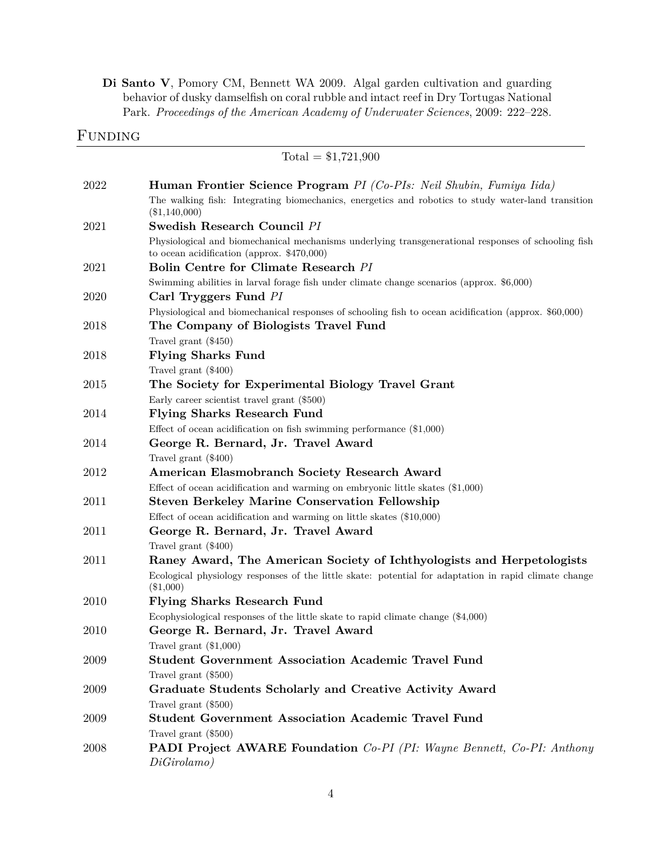**Di Santo V**, Pomory CM, Bennett WA 2009. Algal garden cultivation and guarding behavior of dusky damselfish on coral rubble and intact reef in Dry Tortugas National Park. *Proceedings of the American Academy of Underwater Sciences*, 2009: 222–228.

### FUNDING

|      | $Total = $1,721,900$                                                                                                                                |
|------|-----------------------------------------------------------------------------------------------------------------------------------------------------|
| 2022 | <b>Human Frontier Science Program</b> PI (Co-PIs: Neil Shubin, Fumiya Iida)                                                                         |
|      | The walking fish: Integrating biomechanics, energetics and robotics to study water-land transition<br>$(\$1,140,000)$                               |
| 2021 | Swedish Research Council PI                                                                                                                         |
|      | Physiological and biomechanical mechanisms underlying transgenerational responses of schooling fish<br>to ocean acidification (approx. $$470,000$ ) |
| 2021 | Bolin Centre for Climate Research PI                                                                                                                |
|      | Swimming abilities in larval forage fish under climate change scenarios (approx. \$6,000)                                                           |
| 2020 | Carl Tryggers Fund PI                                                                                                                               |
|      | Physiological and biomechanical responses of schooling fish to ocean acidification (approx. \$60,000)                                               |
| 2018 | The Company of Biologists Travel Fund                                                                                                               |
|      | Travel grant (\$450)                                                                                                                                |
| 2018 | <b>Flying Sharks Fund</b>                                                                                                                           |
|      | Travel grant (\$400)                                                                                                                                |
| 2015 | The Society for Experimental Biology Travel Grant                                                                                                   |
|      | Early career scientist travel grant (\$500)                                                                                                         |
| 2014 | <b>Flying Sharks Research Fund</b>                                                                                                                  |
|      | Effect of ocean acidification on fish swimming performance $(\$1,000)$                                                                              |
| 2014 | George R. Bernard, Jr. Travel Award                                                                                                                 |
|      | Travel grant (\$400)                                                                                                                                |
| 2012 | American Elasmobranch Society Research Award                                                                                                        |
|      | Effect of ocean acidification and warming on embryonic little skates $(\$1,000)$                                                                    |
| 2011 | <b>Steven Berkeley Marine Conservation Fellowship</b>                                                                                               |
|      | Effect of ocean acidification and warming on little skates $(\$10,000)$                                                                             |
| 2011 | George R. Bernard, Jr. Travel Award                                                                                                                 |
|      | Travel grant (\$400)                                                                                                                                |
| 2011 | Raney Award, The American Society of Ichthyologists and Herpetologists                                                                              |
|      | Ecological physiology responses of the little skate: potential for adaptation in rapid climate change<br>$(\$1,000)$                                |
| 2010 | <b>Flying Sharks Research Fund</b>                                                                                                                  |
|      | Ecophysiological responses of the little skate to rapid climate change $(\$4,000)$                                                                  |
| 2010 | George R. Bernard, Jr. Travel Award                                                                                                                 |
|      | Travel grant $(\$1,000)$                                                                                                                            |
| 2009 | <b>Student Government Association Academic Travel Fund</b>                                                                                          |
|      | Travel grant (\$500)                                                                                                                                |
| 2009 | Graduate Students Scholarly and Creative Activity Award                                                                                             |
|      | Travel grant (\$500)                                                                                                                                |
| 2009 | <b>Student Government Association Academic Travel Fund</b>                                                                                          |
|      | Travel grant (\$500)                                                                                                                                |
| 2008 | <b>PADI Project AWARE Foundation</b> Co-PI (PI: Wayne Bennett, Co-PI: Anthony<br>DiGirolamo)                                                        |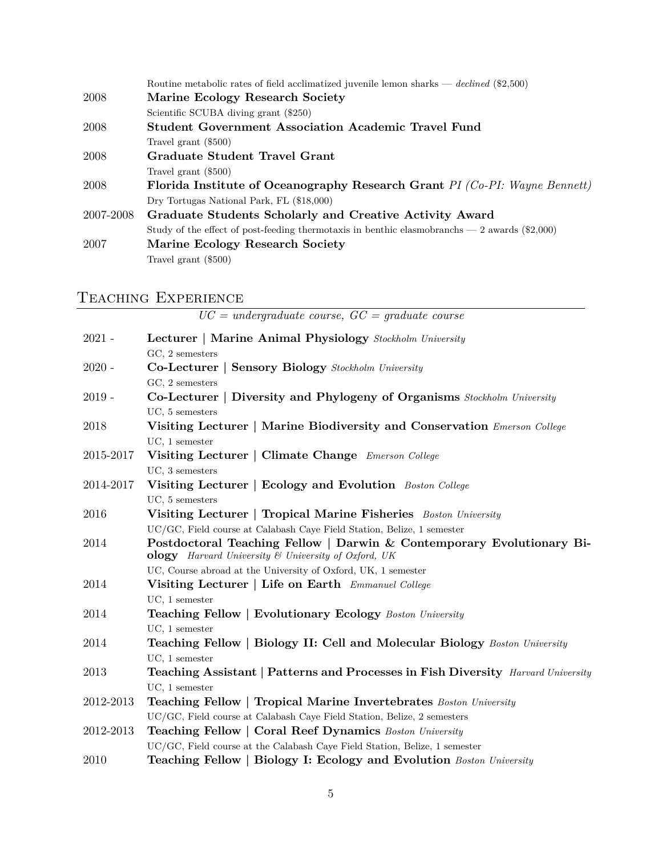| Routine metabolic rates of field acclimatized juvenile lemon sharks — declined $(\$2,500)$     |
|------------------------------------------------------------------------------------------------|
| Marine Ecology Research Society                                                                |
| Scientific SCUBA diving grant (\$250)                                                          |
| Student Government Association Academic Travel Fund                                            |
| Travel grant (\$500)                                                                           |
| Graduate Student Travel Grant                                                                  |
| Travel grant (\$500)                                                                           |
| Florida Institute of Oceanography Research Grant PI (Co-PI: Wayne Bennett)                     |
| Dry Tortugas National Park, FL (\$18,000)                                                      |
| Graduate Students Scholarly and Creative Activity Award                                        |
| Study of the effect of post-feeding thermotaxis in benthic elasmobranchs $-2$ awards (\$2,000) |
| Marine Ecology Research Society                                                                |
| Travel grant (\$500)                                                                           |
|                                                                                                |

# Teaching Experience

|               | $UC = undergraduate \ course, \ GC = graduate \ course$                                                                                             |
|---------------|-----------------------------------------------------------------------------------------------------------------------------------------------------|
| $2021 -$      | Lecturer   Marine Animal Physiology Stockholm University<br>$GC, 2$ semesters                                                                       |
| $2020 -$      | <b>Co-Lecturer   Sensory Biology</b> Stockholm University<br>$GC, 2$ semesters                                                                      |
| $2019 -$      | Co-Lecturer   Diversity and Phylogeny of Organisms Stockholm University<br>UC, 5 semesters                                                          |
| 2018          | Visiting Lecturer   Marine Biodiversity and Conservation Emerson College<br>$UC, 1$ semester                                                        |
| 2015-2017     | Visiting Lecturer   Climate Change Emerson College<br>UC, 3 semesters                                                                               |
| 2014-2017     | Visiting Lecturer   Ecology and Evolution Boston College<br>UC, 5 semesters                                                                         |
| 2016          | Visiting Lecturer   Tropical Marine Fisheries Boston University<br>UC/GC, Field course at Calabash Caye Field Station, Belize, 1 semester           |
| 2014          | Postdoctoral Teaching Fellow   Darwin & Contemporary Evolutionary Bi-<br><b>ology</b> Harvard University & University of Oxford, UK                 |
|               | UC, Course abroad at the University of Oxford, UK, 1 semester                                                                                       |
| 2014          | Visiting Lecturer   Life on Earth Emmanuel College                                                                                                  |
|               | $UC, 1$ semester                                                                                                                                    |
| 2014          | <b>Teaching Fellow   Evolutionary Ecology</b> Boston University<br>$UC, 1$ semester                                                                 |
| 2014          | <b>Teaching Fellow   Biology II: Cell and Molecular Biology</b> Boston University<br>$UC, 1$ semester                                               |
| 2013          | <b>Teaching Assistant   Patterns and Processes in Fish Diversity</b> Harvard University<br>UC, 1 semester                                           |
| 2012-2013     | <b>Teaching Fellow   Tropical Marine Invertebrates</b> Boston University<br>UC/GC, Field course at Calabash Caye Field Station, Belize, 2 semesters |
| $2012 - 2013$ | <b>Teaching Fellow   Coral Reef Dynamics</b> Boston University<br>UC/GC, Field course at the Calabash Caye Field Station, Belize, 1 semester        |
| 2010          | <b>Teaching Fellow   Biology I: Ecology and Evolution</b> Boston University                                                                         |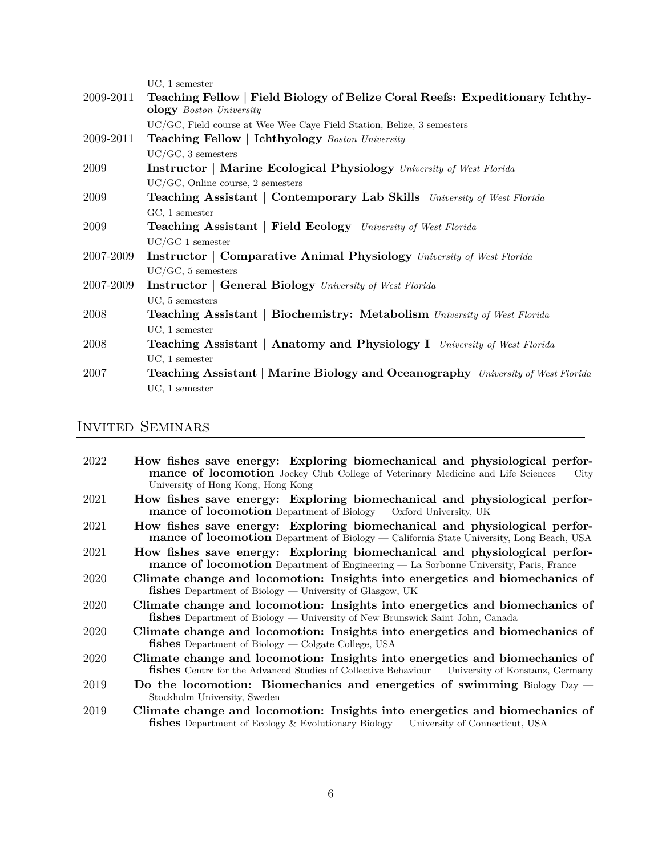|           | $UC, 1$ semester                                                                                               |
|-----------|----------------------------------------------------------------------------------------------------------------|
| 2009-2011 | Teaching Fellow   Field Biology of Belize Coral Reefs: Expeditionary Ichthy-<br><b>ology</b> Boston University |
|           | UC/GC, Field course at Wee Wee Caye Field Station, Belize, 3 semesters                                         |
| 2009-2011 | <b>Teaching Fellow   Ichthyology</b> Boston University                                                         |
|           | $UC/GC$ , 3 semesters                                                                                          |
| 2009      | <b>Instructor   Marine Ecological Physiology</b> University of West Florida                                    |
|           | UC/GC, Online course, 2 semesters                                                                              |
| 2009      | <b>Teaching Assistant   Contemporary Lab Skills</b> University of West Florida                                 |
|           | $GC, 1$ semester                                                                                               |
| 2009      | <b>Teaching Assistant   Field Ecology</b> University of West Florida                                           |
|           | $UC/GC$ 1 semester                                                                                             |
| 2007-2009 | <b>Instructor</b>   Comparative Animal Physiology University of West Florida                                   |
|           | $UC/GC, 5$ semesters                                                                                           |
| 2007-2009 | <b>Instructor   General Biology</b> University of West Florida                                                 |
|           | UC, 5 semesters                                                                                                |
| 2008      | Teaching Assistant   Biochemistry: Metabolism University of West Florida                                       |
|           | $UC, 1$ semester                                                                                               |
| 2008      | <b>Teaching Assistant   Anatomy and Physiology I</b> University of West Florida                                |
|           | $UC, 1$ semester                                                                                               |
| 2007      | <b>Teaching Assistant   Marine Biology and Oceanography</b> University of West Florida                         |
|           | $UC, 1$ semester                                                                                               |
|           |                                                                                                                |

# Invited Seminars

| 2022 | How fishes save energy: Exploring biomechanical and physiological perfor-<br><b>mance of locomotion</b> Jockey Club College of Veterinary Medicine and Life Sciences — City            |
|------|----------------------------------------------------------------------------------------------------------------------------------------------------------------------------------------|
|      | University of Hong Kong, Hong Kong                                                                                                                                                     |
| 2021 | How fishes save energy: Exploring biomechanical and physiological perfor-<br>mance of locomotion Department of Biology — Oxford University, UK                                         |
| 2021 | How fishes save energy: Exploring biomechanical and physiological perfor-<br><b>mance of locomotion</b> Department of Biology — California State University, Long Beach, USA           |
| 2021 | How fishes save energy: Exploring biomechanical and physiological perfor-<br>mance of locomotion Department of Engineering — La Sorbonne University, Paris, France                     |
| 2020 | Climate change and locomotion: Insights into energetics and biomechanics of<br><b>fishes</b> Department of Biology — University of Glasgow, UK                                         |
| 2020 | Climate change and locomotion: Insights into energetics and biomechanics of<br><b>fishes</b> Department of Biology — University of New Brunswick Saint John, Canada                    |
| 2020 | Climate change and locomotion: Insights into energetics and biomechanics of<br>$\mathbf{fishes}$ Department of Biology — Colgate College, USA                                          |
| 2020 | Climate change and locomotion: Insights into energetics and biomechanics of<br><b>fishes</b> Centre for the Advanced Studies of Collective Behaviour — University of Konstanz, Germany |
| 2019 | Do the locomotion: Biomechanics and energetics of swimming Biology Day $-$<br>Stockholm University, Sweden                                                                             |
| 2019 | Climate change and locomotion: Insights into energetics and biomechanics of<br><b>fishes</b> Department of Ecology & Evolutionary Biology — University of Connecticut, USA             |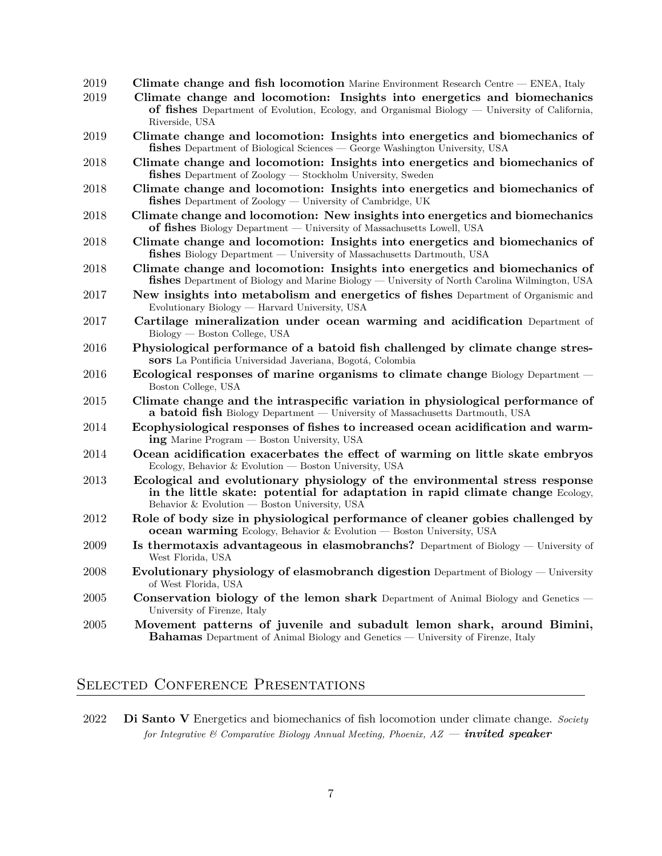| 2019 | <b>Climate change and fish locomotion</b> Marine Environment Research Centre — ENEA, Italy                                                                                                                     |
|------|----------------------------------------------------------------------------------------------------------------------------------------------------------------------------------------------------------------|
| 2019 | Climate change and locomotion: Insights into energetics and biomechanics<br>of fishes Department of Evolution, Ecology, and Organismal Biology — University of California,<br>Riverside, USA                   |
| 2019 | Climate change and locomotion: Insights into energetics and biomechanics of<br>fishes Department of Biological Sciences — George Washington University, USA                                                    |
| 2018 | Climate change and locomotion: Insights into energetics and biomechanics of<br><b>fishes</b> Department of Zoology — Stockholm University, Sweden                                                              |
| 2018 | Climate change and locomotion: Insights into energetics and biomechanics of<br><b>fishes</b> Department of Zoology — University of Cambridge, UK                                                               |
| 2018 | Climate change and locomotion: New insights into energetics and biomechanics<br>of fishes Biology Department — University of Massachusetts Lowell, USA                                                         |
| 2018 | Climate change and locomotion: Insights into energetics and biomechanics of<br><b>fishes</b> Biology Department — University of Massachusetts Dartmouth, USA                                                   |
| 2018 | Climate change and locomotion: Insights into energetics and biomechanics of<br><b>fishes</b> Department of Biology and Marine Biology — University of North Carolina Wilmington, USA                           |
| 2017 | New insights into metabolism and energetics of fishes Department of Organismic and<br>Evolutionary Biology — Harvard University, USA                                                                           |
| 2017 | Cartilage mineralization under ocean warming and acidification Department of<br>Biology — Boston College, USA                                                                                                  |
| 2016 | Physiological performance of a batoid fish challenged by climate change stres-<br>sors La Pontificia Universidad Javeriana, Bogotá, Colombia                                                                   |
| 2016 | Ecological responses of marine organisms to climate change Biology Department –<br>Boston College, USA                                                                                                         |
| 2015 | Climate change and the intraspecific variation in physiological performance of<br>a batoid fish Biology Department — University of Massachusetts Dartmouth, USA                                                |
| 2014 | Ecophysiological responses of fishes to increased ocean acidification and warm-<br>ing Marine Program — Boston University, USA                                                                                 |
| 2014 | Ocean acidification exacerbates the effect of warming on little skate embryos<br>Ecology, Behavior & Evolution — Boston University, USA                                                                        |
| 2013 | Ecological and evolutionary physiology of the environmental stress response<br>in the little skate: potential for adaptation in rapid climate change Ecology,<br>Behavior & Evolution — Boston University, USA |
| 2012 | Role of body size in physiological performance of cleaner gobies challenged by<br>ocean warming Ecology, Behavior & Evolution - Boston University, USA                                                         |
| 2009 | Is thermotaxis advantageous in elasmobranchs? Department of Biology — University of<br>West Florida, USA                                                                                                       |
| 2008 | <b>Evolutionary physiology of elasmobranch digestion</b> Department of Biology — University<br>of West Florida, USA                                                                                            |
| 2005 | <b>Conservation biology of the lemon shark</b> Department of Animal Biology and Genetics -<br>University of Firenze, Italy                                                                                     |
| 2005 | Movement patterns of juvenile and subadult lemon shark, around Bimini,<br><b>Bahamas</b> Department of Animal Biology and Genetics — University of Firenze, Italy                                              |

## SELECTED CONFERENCE PRESENTATIONS

<sup>2022</sup> **Di Santo V** Energetics and biomechanics of fish locomotion under climate change. *Society for Integrative & Comparative Biology Annual Meeting, Phoenix, AZ — invited speaker*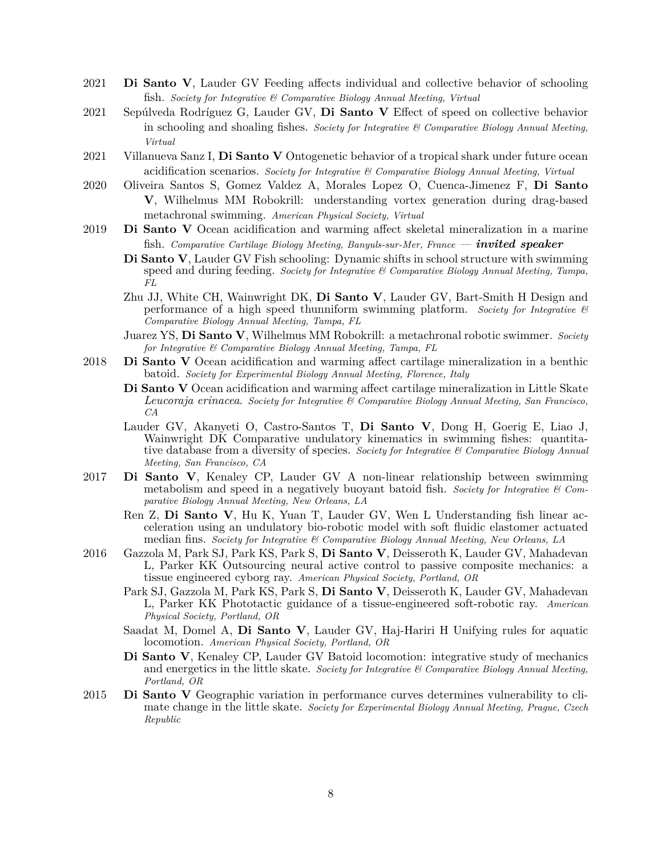- 2021 **Di Santo V**, Lauder GV Feeding affects individual and collective behavior of schooling fish. *Society for Integrative & Comparative Biology Annual Meeting, Virtual*
- 2021 Sepúlveda Rodríguez G, Lauder GV, **Di Santo V** Effect of speed on collective behavior in schooling and shoaling fishes. *Society for Integrative & Comparative Biology Annual Meeting, Virtual*
- 2021 Villanueva Sanz I, **Di Santo V** Ontogenetic behavior of a tropical shark under future ocean acidification scenarios. *Society for Integrative & Comparative Biology Annual Meeting, Virtual*
- 2020 Oliveira Santos S, Gomez Valdez A, Morales Lopez O, Cuenca-Jimenez F, **Di Santo V**, Wilhelmus MM Robokrill: understanding vortex generation during drag-based metachronal swimming. *American Physical Society, Virtual*
- 2019 **Di Santo V** Ocean acidification and warming affect skeletal mineralization in a marine fish. *Comparative Cartilage Biology Meeting, Banyuls-sur-Mer, France — invited speaker*
	- **Di Santo V**, Lauder GV Fish schooling: Dynamic shifts in school structure with swimming speed and during feeding. *Society for Integrative & Comparative Biology Annual Meeting, Tampa, FL*
	- Zhu JJ, White CH, Wainwright DK, **Di Santo V**, Lauder GV, Bart-Smith H Design and performance of a high speed thunniform swimming platform. *Society for Integrative & Comparative Biology Annual Meeting, Tampa, FL*
	- Juarez YS, **Di Santo V**, Wilhelmus MM Robokrill: a metachronal robotic swimmer. *Society for Integrative & Comparative Biology Annual Meeting, Tampa, FL*
- 2018 **Di Santo V** Ocean acidification and warming affect cartilage mineralization in a benthic batoid. *Society for Experimental Biology Annual Meeting, Florence, Italy*
	- **Di Santo V** Ocean acidification and warming affect cartilage mineralization in Little Skate *Leucoraja erinacea*. *Society for Integrative & Comparative Biology Annual Meeting, San Francisco, CA*
	- Lauder GV, Akanyeti O, Castro-Santos T, **Di Santo V**, Dong H, Goerig E, Liao J, Wainwright DK Comparative undulatory kinematics in swimming fishes: quantitative database from a diversity of species. *Society for Integrative & Comparative Biology Annual Meeting, San Francisco, CA*
- 2017 **Di Santo V**, Kenaley CP, Lauder GV A non-linear relationship between swimming metabolism and speed in a negatively buoyant batoid fish. *Society for Integrative & Comparative Biology Annual Meeting, New Orleans, LA*
	- Ren Z, **Di Santo V**, Hu K, Yuan T, Lauder GV, Wen L Understanding fish linear acceleration using an undulatory bio-robotic model with soft fluidic elastomer actuated median fins. *Society for Integrative & Comparative Biology Annual Meeting, New Orleans, LA*
- 2016 Gazzola M, Park SJ, Park KS, Park S, **Di Santo V**, Deisseroth K, Lauder GV, Mahadevan L, Parker KK Outsourcing neural active control to passive composite mechanics: a tissue engineered cyborg ray. *American Physical Society, Portland, OR*
	- Park SJ, Gazzola M, Park KS, Park S, **Di Santo V**, Deisseroth K, Lauder GV, Mahadevan L, Parker KK Phototactic guidance of a tissue-engineered soft-robotic ray. *American Physical Society, Portland, OR*
	- Saadat M, Domel A, **Di Santo V**, Lauder GV, Haj-Hariri H Unifying rules for aquatic locomotion. *American Physical Society, Portland, OR*
	- **Di Santo V**, Kenaley CP, Lauder GV Batoid locomotion: integrative study of mechanics and energetics in the little skate. *Society for Integrative & Comparative Biology Annual Meeting, Portland, OR*
- 2015 **Di Santo V** Geographic variation in performance curves determines vulnerability to climate change in the little skate. *Society for Experimental Biology Annual Meeting, Prague, Czech Republic*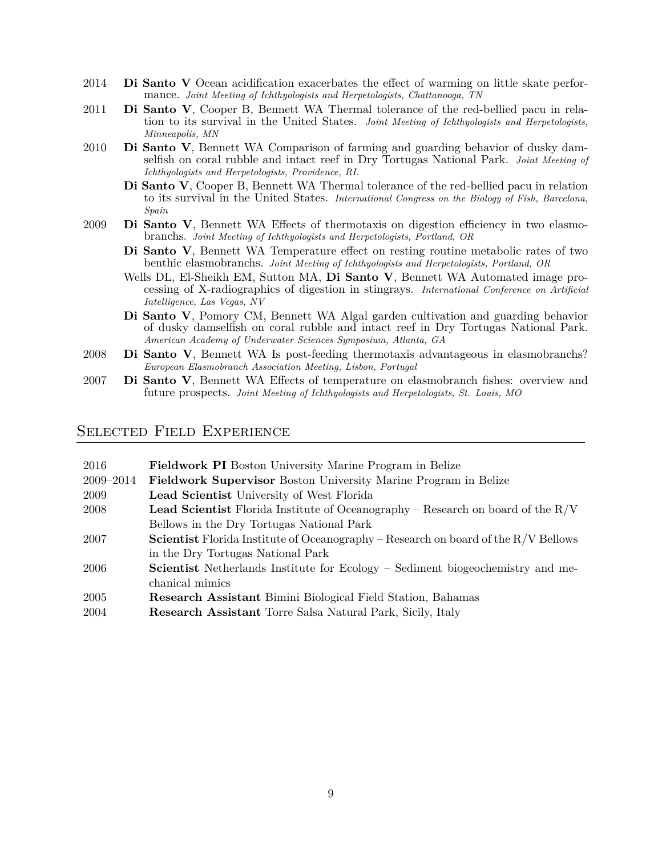- 2014 **Di Santo V** Ocean acidification exacerbates the effect of warming on little skate performance. *Joint Meeting of Ichthyologists and Herpetologists, Chattanooga, TN*
- 2011 **Di Santo V**, Cooper B, Bennett WA Thermal tolerance of the red-bellied pacu in relation to its survival in the United States. *Joint Meeting of Ichthyologists and Herpetologists, Minneapolis, MN*
- 2010 **Di Santo V**, Bennett WA Comparison of farming and guarding behavior of dusky damselfish on coral rubble and intact reef in Dry Tortugas National Park. *Joint Meeting of Ichthyologists and Herpetologists, Providence, RI.*
	- **Di Santo V**, Cooper B, Bennett WA Thermal tolerance of the red-bellied pacu in relation to its survival in the United States. *International Congress on the Biology of Fish, Barcelona, Spain*
- 2009 **Di Santo V**, Bennett WA Effects of thermotaxis on digestion efficiency in two elasmobranchs. *Joint Meeting of Ichthyologists and Herpetologists, Portland, OR*
	- **Di Santo V**, Bennett WA Temperature effect on resting routine metabolic rates of two benthic elasmobranchs. *Joint Meeting of Ichthyologists and Herpetologists, Portland, OR*
	- Wells DL, El-Sheikh EM, Sutton MA, **Di Santo V**, Bennett WA Automated image processing of X-radiographics of digestion in stingrays. *International Conference on Artificial Intelligence, Las Vegas, NV*
	- **Di Santo V**, Pomory CM, Bennett WA Algal garden cultivation and guarding behavior of dusky damselfish on coral rubble and intact reef in Dry Tortugas National Park. *American Academy of Underwater Sciences Symposium, Atlanta, GA*
- 2008 **Di Santo V**, Bennett WA Is post-feeding thermotaxis advantageous in elasmobranchs? *European Elasmobranch Association Meeting, Lisbon, Portugal*
- 2007 **Di Santo V**, Bennett WA Effects of temperature on elasmobranch fishes: overview and future prospects. *Joint Meeting of Ichthyologists and Herpetologists, St. Louis, MO*

#### Selected Field Experience

| 2016      | <b>Fieldwork PI</b> Boston University Marine Program in Belize                              |
|-----------|---------------------------------------------------------------------------------------------|
| 2009-2014 | <b>Fieldwork Supervisor</b> Boston University Marine Program in Belize                      |
| 2009      | <b>Lead Scientist</b> University of West Florida                                            |
| 2008      | <b>Lead Scientist</b> Florida Institute of Oceanography – Research on board of the $R/V$    |
|           | Bellows in the Dry Tortugas National Park                                                   |
| 2007      | <b>Scientist</b> Florida Institute of Oceanography – Research on board of the $R/V$ Bellows |
|           | in the Dry Tortugas National Park                                                           |
| 2006      | <b>Scientist</b> Netherlands Institute for Ecology – Sediment biogeochemistry and me-       |
|           | chanical mimics                                                                             |
| 2005      | <b>Research Assistant Bimini Biological Field Station, Bahamas</b>                          |
| 2004      | <b>Research Assistant</b> Torre Salsa Natural Park, Sicily, Italy                           |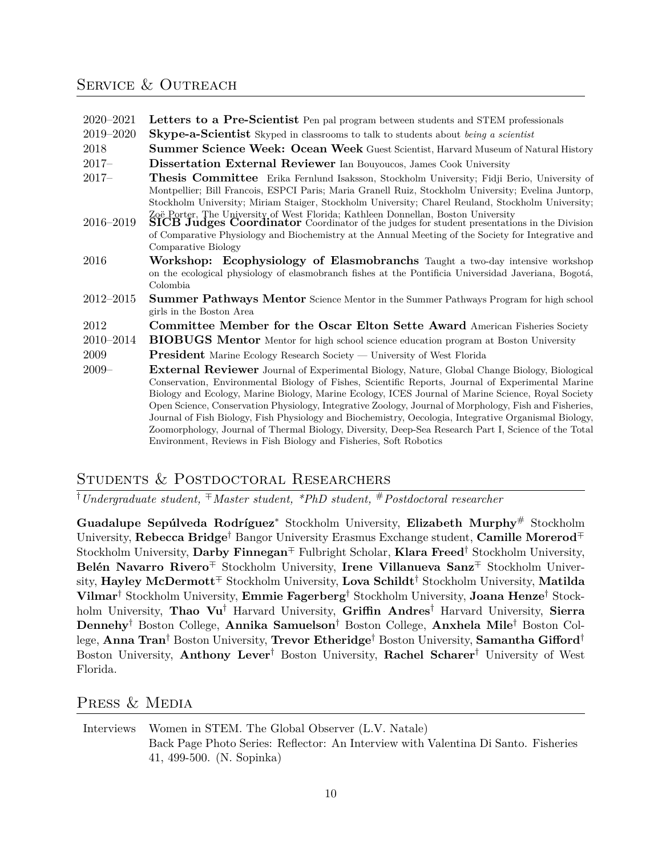### SERVICE & OUTREACH

| 2020–2021 Letters to a Pre-Scientist Pen pal program between students and STEM professionals |  |
|----------------------------------------------------------------------------------------------|--|
|----------------------------------------------------------------------------------------------|--|

- 2019–2020 **Skype-a-Scientist** Skyped in classrooms to talk to students about *being a scientist*
- 2018 **Summer Science Week: Ocean Week** Guest Scientist, Harvard Museum of Natural History
- 2017– **Dissertation External Reviewer** Ian Bouyoucos, James Cook University
- 2017– **Thesis Committee** Erika Fernlund Isaksson, Stockholm University; Fidji Berio, University of Montpellier; Bill Francois, ESPCI Paris; Maria Granell Ruiz, Stockholm University; Evelina Juntorp, Stockholm University; Miriam Staiger, Stockholm University; Charel Reuland, Stockholm University;
- Zoë Porter, The University of West Florida; Kathleen Donnellan, Boston University 2016–2019 **SICB Judges Coordinator** Coordinator of the judges for student presentations in the Division of Comparative Physiology and Biochemistry at the Annual Meeting of the Society for Integrative and Comparative Biology
- 2016 **Workshop: Ecophysiology of Elasmobranchs** Taught a two-day intensive workshop on the ecological physiology of elasmobranch fishes at the Pontificia Universidad Javeriana, Bogotá, Colombia
- 2012–2015 **Summer Pathways Mentor** Science Mentor in the Summer Pathways Program for high school girls in the Boston Area
- 2012 **Committee Member for the Oscar Elton Sette Award** American Fisheries Society
- 2010–2014 **BIOBUGS Mentor** Mentor for high school science education program at Boston University
- 2009 **President** Marine Ecology Research Society University of West Florida
- 2009– **External Reviewer** Journal of Experimental Biology, Nature, Global Change Biology, Biological Conservation, Environmental Biology of Fishes, Scientific Reports, Journal of Experimental Marine Biology and Ecology, Marine Biology, Marine Ecology, ICES Journal of Marine Science, Royal Society Open Science, Conservation Physiology, Integrative Zoology, Journal of Morphology, Fish and Fisheries, Journal of Fish Biology, Fish Physiology and Biochemistry, Oecologia, Integrative Organismal Biology, Zoomorphology, Journal of Thermal Biology, Diversity, Deep-Sea Research Part I, Science of the Total Environment, Reviews in Fish Biology and Fisheries, Soft Robotics

### Students & Postdoctoral Researchers

*†Undergraduate student, <sup>∓</sup>Master student, \*PhD student,* #*Postdoctoral researcher*

**Guadalupe Sepúlveda Rodríguez***<sup>∗</sup>* Stockholm University, **Elizabeth Murphy**# Stockholm University, **Rebecca Bridge***†* Bangor University Erasmus Exchange student, **Camille Morerod***∓* Stockholm University, **Darby Finnegan***∓* Fulbright Scholar, **Klara Freed***†* Stockholm University, **Belén Navarro Rivero***∓* Stockholm University, **Irene Villanueva Sanz***∓* Stockholm University, **Hayley McDermott***∓* Stockholm University, **Lova Schildt***†* Stockholm University, **Matilda Vilmar***†* Stockholm University, **Emmie Fagerberg***†* Stockholm University, **Joana Henze***†* Stockholm University, **Thao Vu***†* Harvard University, **Griffin Andres***†* Harvard University, **Sierra Dennehy***†* Boston College, **Annika Samuelson***†* Boston College, **Anxhela Mile***†* Boston College, **Anna Tran***†* Boston University, **Trevor Etheridge***†* Boston University, **Samantha Gifford***†* Boston University, **Anthony Lever***†* Boston University, **Rachel Scharer***†* University of West Florida.

### PRESS & MEDIA

Interviews [Women in STEM. The Global Observer \(L.V. Natale\)](https://globalobserver.blog/women-in-stem/) [Back Page Photo Series: Reflector: An Interview with Valentina Di Santo. Fisheries](http://afs.tandfonline.com/doi/abs/10.1080/03632415.2016.1199837?needAccess=true) [41, 499-500. \(N. Sopinka\)](http://afs.tandfonline.com/doi/abs/10.1080/03632415.2016.1199837?needAccess=true)